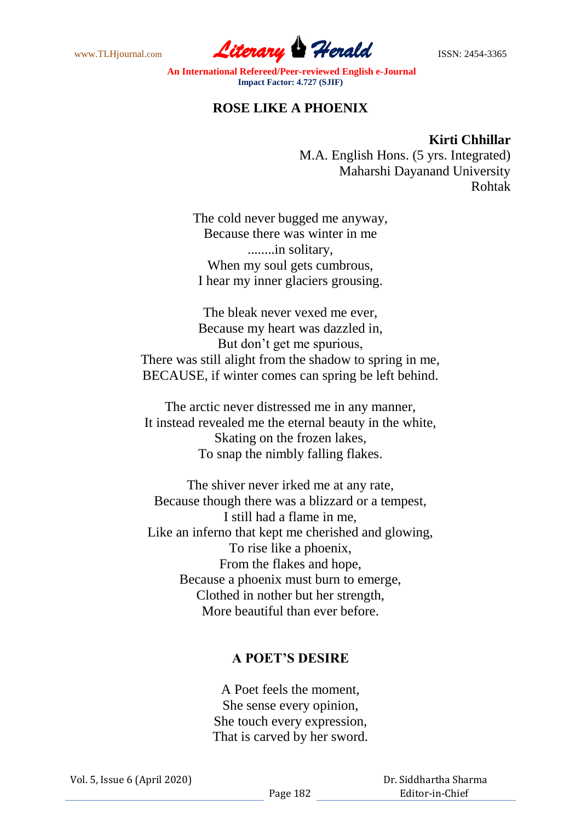www.TLHjournal.com **Literary Herald Herald ISSN: 2454-3365** 

**An International Refereed/Peer-reviewed English e-Journal Impact Factor: 4.727 (SJIF)**

## **ROSE LIKE A PHOENIX**

## **Kirti Chhillar**

M.A. English Hons. (5 yrs. Integrated) Maharshi Dayanand University Rohtak

The cold never bugged me anyway, Because there was winter in me ........in solitary, When my soul gets cumbrous, I hear my inner glaciers grousing.

The bleak never vexed me ever, Because my heart was dazzled in, But don't get me spurious, There was still alight from the shadow to spring in me, BECAUSE, if winter comes can spring be left behind.

The arctic never distressed me in any manner, It instead revealed me the eternal beauty in the white, Skating on the frozen lakes, To snap the nimbly falling flakes.

The shiver never irked me at any rate, Because though there was a blizzard or a tempest, I still had a flame in me, Like an inferno that kept me cherished and glowing, To rise like a phoenix, From the flakes and hope, Because a phoenix must burn to emerge, Clothed in nother but her strength, More beautiful than ever before.

## **A POET'S DESIRE**

A Poet feels the moment, She sense every opinion, She touch every expression, That is carved by her sword.

 Dr. Siddhartha Sharma Editor-in-Chief